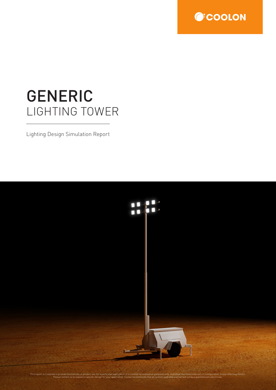

# GENERIC LIGHTING TOWER

Lighting Design Simulation Report

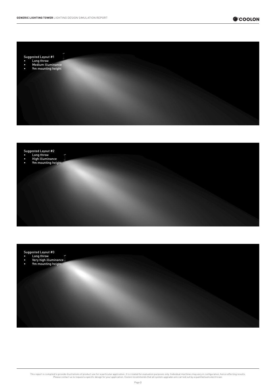

Suggested Layout #1

- Long throw
- Medium illuminance • 9m mounting height



Suggested Layout #3

• Long throw • Very high illuminance • 9m mounting height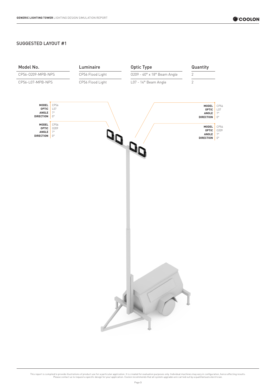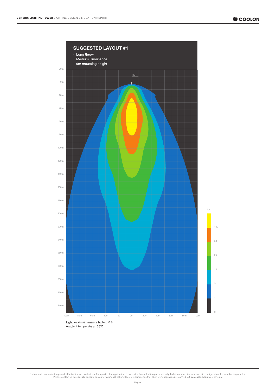

Ambient temperature: 35°C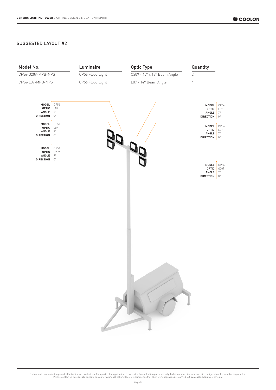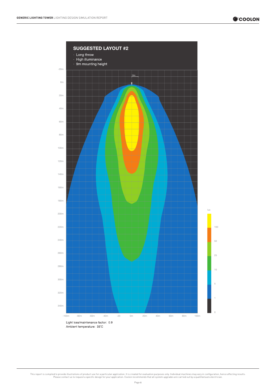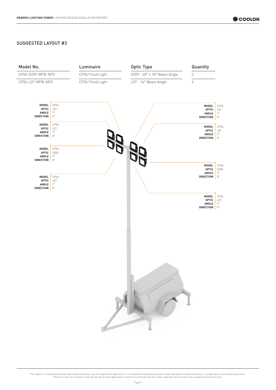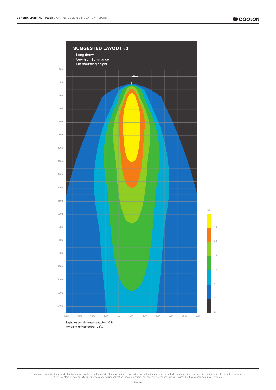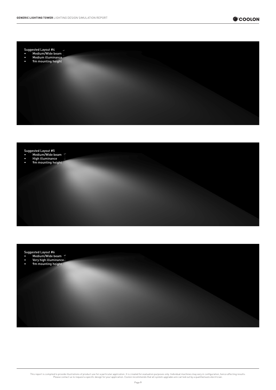





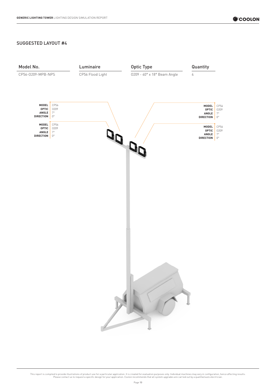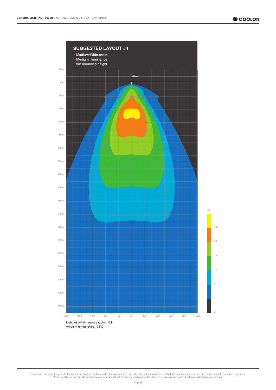

Ambient temperature: 35°C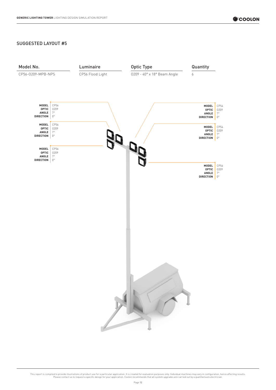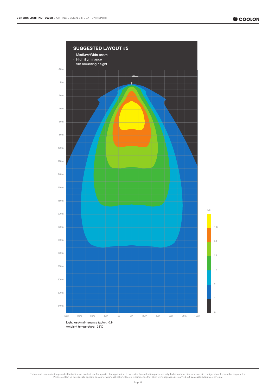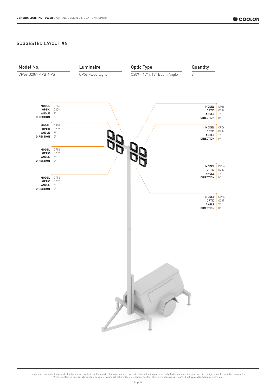